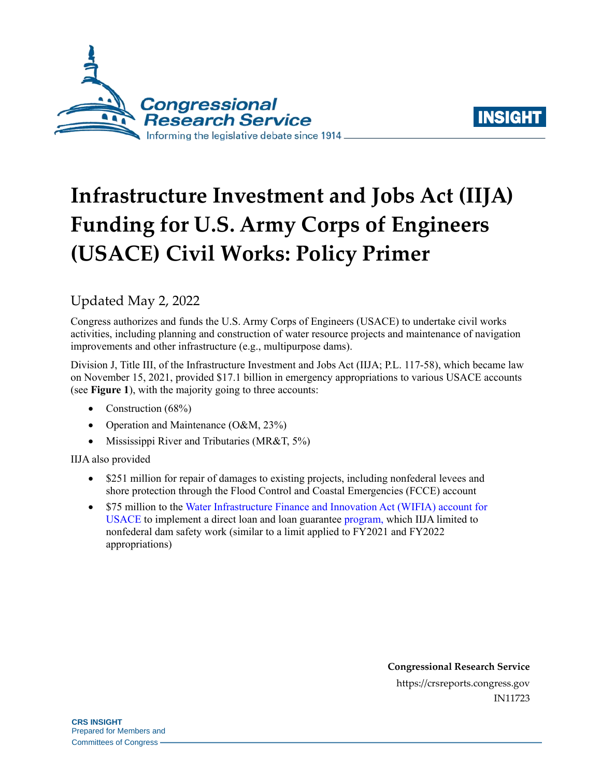



# **Infrastructure Investment and Jobs Act (IIJA) Funding for U.S. Army Corps of Engineers (USACE) Civil Works: Policy Primer**

# Updated May 2, 2022

Congress authorizes and funds the U.S. Army Corps of Engineers (USACE) to undertake civil works activities, including planning and construction of water resource projects and maintenance of navigation improvements and other infrastructure (e.g., multipurpose dams).

Division J, Title III, of the Infrastructure Investment and Jobs Act (IIJA; [P.L. 117-58\)](http://www.congress.gov/cgi-lis/bdquery/R?d117:FLD002:@1(117+58)), which became law on November 15, 2021, provided \$17.1 billion in emergency appropriations to various USACE accounts (see **[Figure 1](#page-1-0)**), with the majority going to three accounts:

- Construction (68%)
- Operation and Maintenance  $(O&M, 23\%)$
- Mississippi River and Tributaries (MR&T, 5%)

IIJA also provided

- \$251 million for repair of damages to existing projects, including nonfederal levees and shore protection through the Flood Control and Coastal Emergencies (FCCE) account
- \$75 million to the [Water Infrastructure Finance and Innovation Act \(WIFIA\)](https://crsreports.congress.gov/product/pdf/IN/IN11577) account for [USACE](https://crsreports.congress.gov/product/pdf/IN/IN11577) to implement a direct loan and loan guarantee [program,](https://www.usace.army.mil/Missions/Civil-Works/Infrastructure/revolutionize/CWIFP/) which IIJA limited to nonfederal dam safety work (similar to a limit applied to FY2021 and FY2022 appropriations)

**Congressional Research Service** https://crsreports.congress.gov IN11723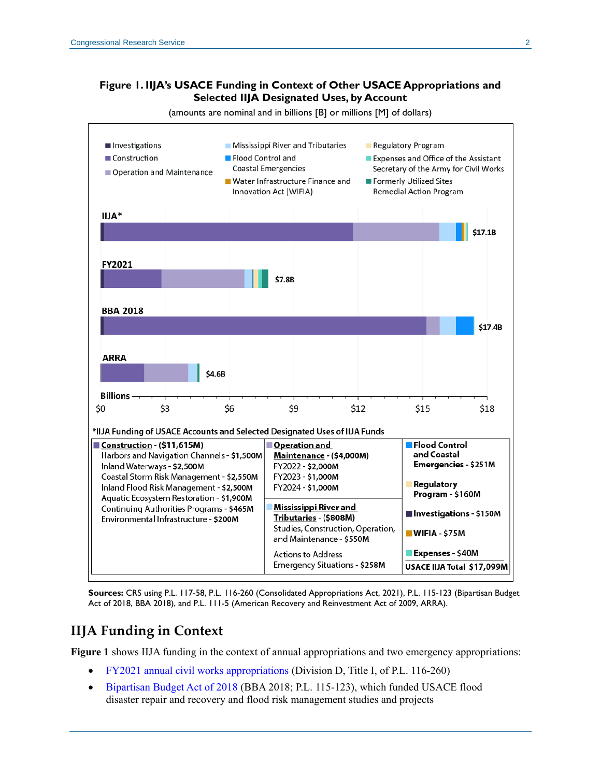#### <span id="page-1-0"></span>**Figure 1. IIJA's USACE Funding in Context of Other USACE Appropriations and Selected IIJA Designated Uses, by Account**



(amounts are nominal and in billions [B] or millions [M] of dollars)

**Sources:** CRS usin[g P.L. 117-58,](http://www.congress.gov/cgi-lis/bdquery/R?d117:FLD002:@1(117+58)) [P.L. 116-260](http://www.congress.gov/cgi-lis/bdquery/R?d116:FLD002:@1(116+260)) (Consolidated Appropriations Act, 2021), [P.L. 115-123](http://www.congress.gov/cgi-lis/bdquery/R?d115:FLD002:@1(115+123)) (Bipartisan Budget Act of 2018, BBA 2018), and [P.L. 111-5](http://www.congress.gov/cgi-lis/bdquery/R?d111:FLD002:@1(111+5)) (American Recovery and Reinvestment Act of 2009, ARRA).

## **IIJA Funding in Context**

**[Figure 1](#page-1-0)** shows IIJA funding in the context of annual appropriations and two emergency appropriations:

- [FY2021 annual civil works appropriations](https://crsreports.congress.gov/product/pdf/IF/IF11462) (Division D, Title I, of [P.L. 116-260\)](http://www.congress.gov/cgi-lis/bdquery/R?d116:FLD002:@1(116+260))
- [Bipartisan Budget Act of 2018](https://crsreports.congress.gov/product/pdf/R/R45326#_Toc526152180) (BBA 2018; [P.L. 115-123\)](http://www.congress.gov/cgi-lis/bdquery/R?d115:FLD002:@1(115+123)), which funded USACE flood disaster repair and recovery and flood risk management studies and projects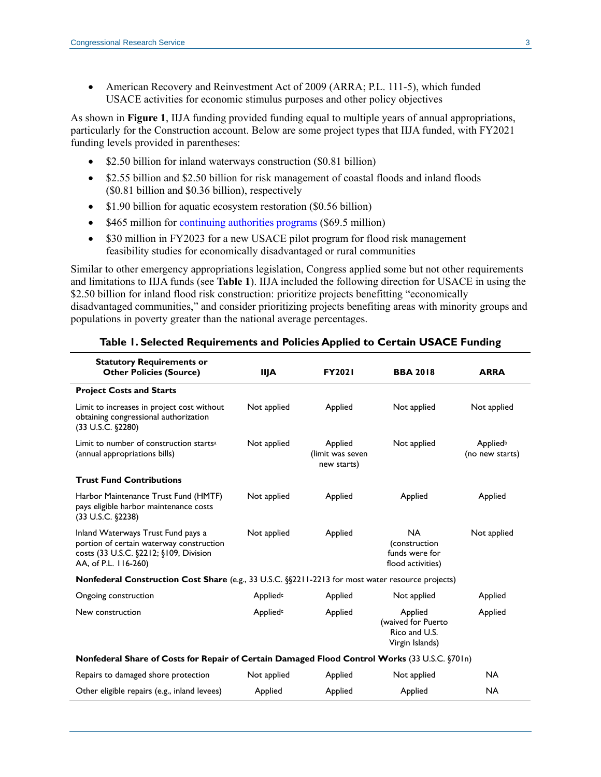American Recovery and Reinvestment Act of 2009 (ARRA; [P.L. 111-5\)](http://www.congress.gov/cgi-lis/bdquery/R?d111:FLD002:@1(111+5)), which funded USACE activities for economic stimulus purposes and other policy objectives

As shown in **[Figure 1](#page-1-0)**, IIJA funding provided funding equal to multiple years of annual appropriations, particularly for the Construction account. Below are some project types that IIJA funded, with FY2021 funding levels provided in parentheses:

- \$2.50 billion for inland waterways construction (\$0.81 billion)
- \$2.55 billion and \$2.50 billion for risk management of coastal floods and inland floods (\$0.81 billion and \$0.36 billion), respectively
- \$1.90 billion for aquatic ecosystem restoration (\$0.56 billion)
- \$465 million for [continuing authorities programs](https://crsreports.congress.gov/product/pdf/IF/IF11106) (\$69.5 million)
- \$30 million in FY2023 for a new USACE pilot program for flood risk management feasibility studies for economically disadvantaged or rural communities

Similar to other emergency appropriations legislation, Congress applied some but not other requirements and limitations to IIJA funds (see **[Table 1](#page-2-0)**). IIJA included the following direction for USACE in using the \$2.50 billion for inland flood risk construction: prioritize projects benefitting "economically disadvantaged communities," and consider prioritizing projects benefiting areas with minority groups and populations in poverty greater than the national average percentages.

<span id="page-2-0"></span>

| <b>Statutory Requirements or</b><br><b>Other Policies (Source)</b>                                                                               | <b>IIJA</b>          | <b>FY2021</b>                              | <b>BBA 2018</b>                                                   | <b>ARRA</b>                 |
|--------------------------------------------------------------------------------------------------------------------------------------------------|----------------------|--------------------------------------------|-------------------------------------------------------------------|-----------------------------|
| <b>Project Costs and Starts</b>                                                                                                                  |                      |                                            |                                                                   |                             |
| Limit to increases in project cost without<br>obtaining congressional authorization<br>$(33 \text{ U.S.C. }$ \$2280)                             | Not applied          | Applied                                    | Not applied                                                       | Not applied                 |
| Limit to number of construction starts <sup>a</sup><br>(annual appropriations bills)                                                             | Not applied          | Applied<br>(limit was seven<br>new starts) | Not applied                                                       | Appliedb<br>(no new starts) |
| <b>Trust Fund Contributions</b>                                                                                                                  |                      |                                            |                                                                   |                             |
| Harbor Maintenance Trust Fund (HMTF)<br>pays eligible harbor maintenance costs<br>$(33 \text{ U.S.C. }$ \$2238)                                  | Not applied          | Applied                                    | Applied                                                           | Applied                     |
| Inland Waterways Trust Fund pays a<br>portion of certain waterway construction<br>costs (33 U.S.C. §2212; §109, Division<br>AA, of P.L. 116-260) | Not applied          | Applied                                    | <b>NA</b><br>(construction<br>funds were for<br>flood activities) | Not applied                 |
| Nonfederal Construction Cost Share (e.g., 33 U.S.C. §§2211-2213 for most water resource projects)                                                |                      |                                            |                                                                   |                             |
| Ongoing construction                                                                                                                             | Applied <sup>c</sup> | Applied                                    | Not applied                                                       | Applied                     |
| New construction                                                                                                                                 | Applied <sup>c</sup> | Applied                                    | Applied<br>(waived for Puerto<br>Rico and U.S.<br>Virgin Islands) | Applied                     |
| Nonfederal Share of Costs for Repair of Certain Damaged Flood Control Works (33 U.S.C. §701n)                                                    |                      |                                            |                                                                   |                             |
| Repairs to damaged shore protection                                                                                                              | Not applied          | Applied                                    | Not applied                                                       | <b>NA</b>                   |
| Other eligible repairs (e.g., inland levees)                                                                                                     | Applied              | Applied                                    | Applied                                                           | <b>NA</b>                   |

#### **Table 1. Selected Requirements and Policies Applied to Certain USACE Funding**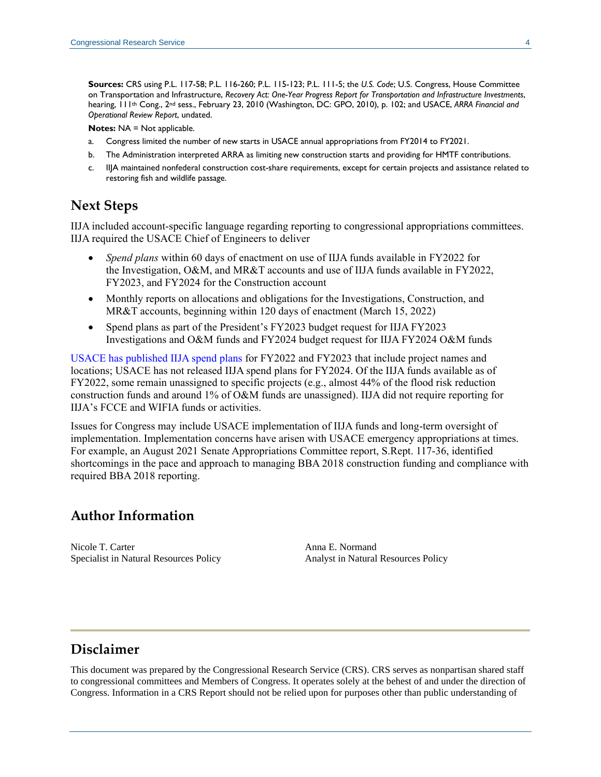**Sources:** CRS usin[g P.L. 117-58;](http://www.congress.gov/cgi-lis/bdquery/R?d117:FLD002:@1(117+58)) [P.L. 116-260;](http://www.congress.gov/cgi-lis/bdquery/R?d116:FLD002:@1(116+260)) [P.L. 115-123;](http://www.congress.gov/cgi-lis/bdquery/R?d115:FLD002:@1(115+123)) [P.L. 111-5;](http://www.congress.gov/cgi-lis/bdquery/R?d111:FLD002:@1(111+5)) the *U.S. Code*; U.S. Congress, House Committee on Transportation and Infrastructure, *Recovery Act: One-Year Progress Report for Transportation and Infrastructure Investments*, hearing, 111th Cong., 2nd sess., February 23, 2010 (Washington, DC: GPO, 2010), p. 102; and USACE, *ARRA Financial and Operational Review Report*, undated.

**Notes: NA = Not applicable.** 

- <span id="page-3-0"></span>a. Congress limited the number of new starts in USACE annual appropriations from FY2014 to FY2021.
- <span id="page-3-1"></span>b. The Administration interpreted ARRA as limiting new construction starts and providing for HMTF contributions.
- <span id="page-3-2"></span>c. IIJA maintained nonfederal construction cost-share requirements, except for certain projects and assistance related to restoring fish and wildlife passage.

### **Next Steps**

IIJA included account-specific language regarding reporting to congressional appropriations committees. IIJA required the USACE Chief of Engineers to deliver

- *Spend plans* within 60 days of enactment on use of IIJA funds available in FY2022 for the Investigation, O&M, and MR&T accounts and use of IIJA funds available in FY2022, FY2023, and FY2024 for the Construction account
- Monthly reports on allocations and obligations for the Investigations, Construction, and MR&T accounts, beginning within 120 days of enactment (March 15, 2022)
- Spend plans as part of the President's FY2023 budget request for IIJA FY2023 Investigations and O&M funds and FY2024 budget request for IIJA FY2024 O&M funds

[USACE has published IIJA spend plans](https://www.usace.army.mil/Missions/Civil-Works/Budget/) for FY2022 and FY2023 that include project names and locations; USACE has not released IIJA spend plans for FY2024. Of the IIJA funds available as of FY2022, some remain unassigned to specific projects (e.g., almost 44% of the flood risk reduction construction funds and around 1% of O&M funds are unassigned). IIJA did not require reporting for IIJA's FCCE and WIFIA funds or activities.

Issues for Congress may include USACE implementation of IIJA funds and long-term oversight of implementation. Implementation concerns have arisen with USACE emergency appropriations at times. For example, an August 2021 Senate Appropriations Committee report, [S.Rept. 117-36,](http://www.congress.gov/cgi-lis/cpquery/R?cp117:FLD010:@1(sr36):) identified shortcomings in the pace and approach to managing BBA 2018 construction funding and compliance with required BBA 2018 reporting.

## **Author Information**

Nicole T. Carter Specialist in Natural Resources Policy Anna E. Normand Analyst in Natural Resources Policy

## **Disclaimer**

This document was prepared by the Congressional Research Service (CRS). CRS serves as nonpartisan shared staff to congressional committees and Members of Congress. It operates solely at the behest of and under the direction of Congress. Information in a CRS Report should not be relied upon for purposes other than public understanding of